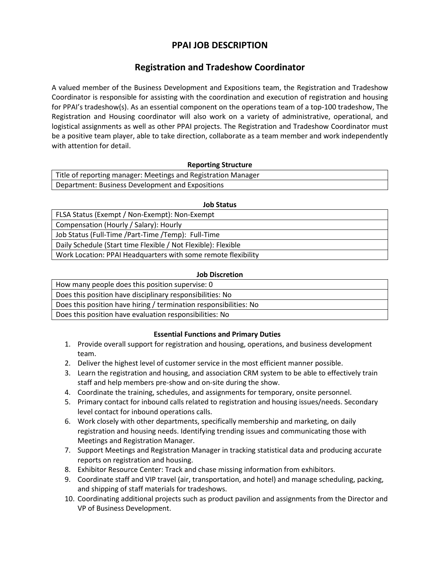# **PPAI JOB DESCRIPTION**

# **Registration and Tradeshow Coordinator**

A valued member of the Business Development and Expositions team, the Registration and Tradeshow Coordinator is responsible for assisting with the coordination and execution of registration and housing for PPAI's tradeshow(s). As an essential component on the operations team of a top-100 tradeshow, The Registration and Housing coordinator will also work on a variety of administrative, operational, and logistical assignments as well as other PPAI projects. The Registration and Tradeshow Coordinator must be a positive team player, able to take direction, collaborate as a team member and work independently with attention for detail.

## **Reporting Structure**

| Title of reporting manager: Meetings and Registration Manager |  |
|---------------------------------------------------------------|--|
| Department: Business Development and Expositions              |  |

#### **Job Status**

FLSA Status (Exempt / Non-Exempt): Non-Exempt Compensation (Hourly / Salary): Hourly

Job Status (Full-Time /Part-Time /Temp): Full-Time

Daily Schedule (Start time Flexible / Not Flexible): Flexible

Work Location: PPAI Headquarters with some remote flexibility

## **Job Discretion**

How many people does this position supervise: 0

Does this position have disciplinary responsibilities: No

Does this position have hiring / termination responsibilities: No

Does this position have evaluation responsibilities: No

## **Essential Functions and Primary Duties**

- 1. Provide overall support for registration and housing, operations, and business development team.
- 2. Deliver the highest level of customer service in the most efficient manner possible.
- 3. Learn the registration and housing, and association CRM system to be able to effectively train staff and help members pre-show and on-site during the show.
- 4. Coordinate the training, schedules, and assignments for temporary, onsite personnel.
- 5. Primary contact for inbound calls related to registration and housing issues/needs. Secondary level contact for inbound operations calls.
- 6. Work closely with other departments, specifically membership and marketing, on daily registration and housing needs. Identifying trending issues and communicating those with Meetings and Registration Manager.
- 7. Support Meetings and Registration Manager in tracking statistical data and producing accurate reports on registration and housing.
- 8. Exhibitor Resource Center: Track and chase missing information from exhibitors.
- 9. Coordinate staff and VIP travel (air, transportation, and hotel) and manage scheduling, packing, and shipping of staff materials for tradeshows.
- 10. Coordinating additional projects such as product pavilion and assignments from the Director and VP of Business Development.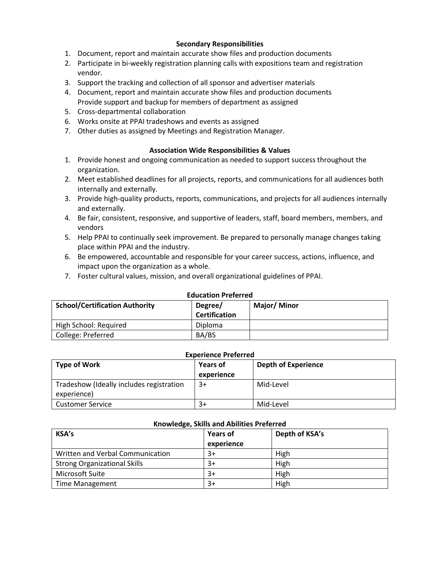## **Secondary Responsibilities**

- 1. Document, report and maintain accurate show files and production documents
- 2. Participate in bi-weekly registration planning calls with expositions team and registration vendor.
- 3. Support the tracking and collection of all sponsor and advertiser materials
- 4. Document, report and maintain accurate show files and production documents Provide support and backup for members of department as assigned
- 5. Cross-departmental collaboration
- 6. Works onsite at PPAI tradeshows and events as assigned
- 7. Other duties as assigned by Meetings and Registration Manager.

### **Association Wide Responsibilities & Values**

- 1. Provide honest and ongoing communication as needed to support success throughout the organization.
- 2. Meet established deadlines for all projects, reports, and communications for all audiences both internally and externally.
- 3. Provide high-quality products, reports, communications, and projects for all audiences internally and externally.
- 4. Be fair, consistent, responsive, and supportive of leaders, staff, board members, members, and vendors
- 5. Help PPAI to continually seek improvement. Be prepared to personally manage changes taking place within PPAI and the industry.
- 6. Be empowered, accountable and responsible for your career success, actions, influence, and impact upon the organization as a whole.
- 7. Foster cultural values, mission, and overall organizational guidelines of PPAI.

| <b>Equeation Preferred</b>            |                |                    |  |  |  |
|---------------------------------------|----------------|--------------------|--|--|--|
| <b>School/Certification Authority</b> | Degree/        | <b>Major/Minor</b> |  |  |  |
|                                       | Certification  |                    |  |  |  |
| High School: Required                 | <b>Diploma</b> |                    |  |  |  |
| College: Preferred                    | BA/BS          |                    |  |  |  |

## **Education Preferred**

#### **Experience Preferred**

| Type of Work                             | <b>Years of</b> | <b>Depth of Experience</b> |
|------------------------------------------|-----------------|----------------------------|
|                                          | experience      |                            |
| Tradeshow (Ideally includes registration | $3+$            | Mid-Level                  |
| experience)                              |                 |                            |
| <b>Customer Service</b>                  | $3+$            | Mid-Level                  |

#### **Knowledge, Skills and Abilities Preferred**

| <b>KSA's</b>                        | <b>Years of</b><br>experience | Depth of KSA's |
|-------------------------------------|-------------------------------|----------------|
| Written and Verbal Communication    | 3+                            | High           |
| <b>Strong Organizational Skills</b> | 3+                            | High           |
| Microsoft Suite                     | 3+                            | High           |
| <b>Time Management</b>              | 3+                            | High           |